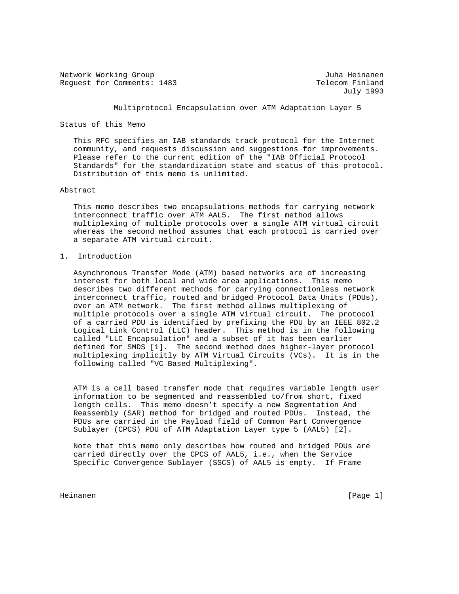Network Working Group and Alexander and Alexander and Juha Heinanen Request for Comments: 1483 Telecom Finland

July 1993

Multiprotocol Encapsulation over ATM Adaptation Layer 5

Status of this Memo

 This RFC specifies an IAB standards track protocol for the Internet community, and requests discussion and suggestions for improvements. Please refer to the current edition of the "IAB Official Protocol Standards" for the standardization state and status of this protocol. Distribution of this memo is unlimited.

### Abstract

 This memo describes two encapsulations methods for carrying network interconnect traffic over ATM AAL5. The first method allows multiplexing of multiple protocols over a single ATM virtual circuit whereas the second method assumes that each protocol is carried over a separate ATM virtual circuit.

# 1. Introduction

 Asynchronous Transfer Mode (ATM) based networks are of increasing interest for both local and wide area applications. This memo describes two different methods for carrying connectionless network interconnect traffic, routed and bridged Protocol Data Units (PDUs), over an ATM network. The first method allows multiplexing of multiple protocols over a single ATM virtual circuit. The protocol of a carried PDU is identified by prefixing the PDU by an IEEE 802.2 Logical Link Control (LLC) header. This method is in the following called "LLC Encapsulation" and a subset of it has been earlier defined for SMDS [1]. The second method does higher-layer protocol multiplexing implicitly by ATM Virtual Circuits (VCs). It is in the following called "VC Based Multiplexing".

 ATM is a cell based transfer mode that requires variable length user information to be segmented and reassembled to/from short, fixed length cells. This memo doesn't specify a new Segmentation And Reassembly (SAR) method for bridged and routed PDUs. Instead, the PDUs are carried in the Payload field of Common Part Convergence Sublayer (CPCS) PDU of ATM Adaptation Layer type 5 (AAL5) [2].

 Note that this memo only describes how routed and bridged PDUs are carried directly over the CPCS of AAL5, i.e., when the Service Specific Convergence Sublayer (SSCS) of AAL5 is empty. If Frame

Heinanen [Page 1]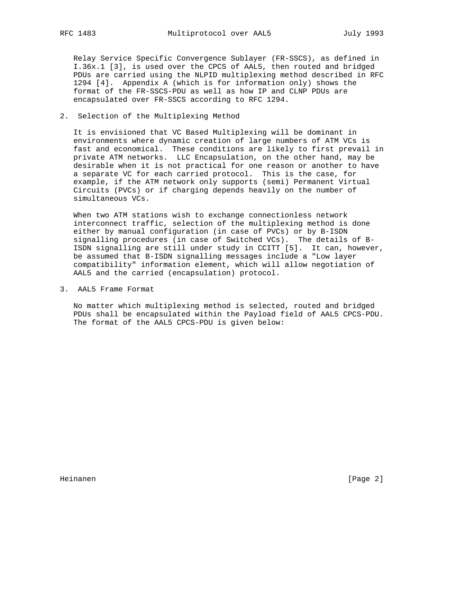Relay Service Specific Convergence Sublayer (FR-SSCS), as defined in I.36x.1 [3], is used over the CPCS of AAL5, then routed and bridged PDUs are carried using the NLPID multiplexing method described in RFC 1294 [4]. Appendix A (which is for information only) shows the format of the FR-SSCS-PDU as well as how IP and CLNP PDUs are encapsulated over FR-SSCS according to RFC 1294.

2. Selection of the Multiplexing Method

 It is envisioned that VC Based Multiplexing will be dominant in environments where dynamic creation of large numbers of ATM VCs is fast and economical. These conditions are likely to first prevail in private ATM networks. LLC Encapsulation, on the other hand, may be desirable when it is not practical for one reason or another to have a separate VC for each carried protocol. This is the case, for example, if the ATM network only supports (semi) Permanent Virtual Circuits (PVCs) or if charging depends heavily on the number of simultaneous VCs.

 When two ATM stations wish to exchange connectionless network interconnect traffic, selection of the multiplexing method is done either by manual configuration (in case of PVCs) or by B-ISDN signalling procedures (in case of Switched VCs). The details of B- ISDN signalling are still under study in CCITT [5]. It can, however, be assumed that B-ISDN signalling messages include a "Low layer compatibility" information element, which will allow negotiation of AAL5 and the carried (encapsulation) protocol.

3. AAL5 Frame Format

 No matter which multiplexing method is selected, routed and bridged PDUs shall be encapsulated within the Payload field of AAL5 CPCS-PDU. The format of the AAL5 CPCS-PDU is given below:

Heinanen [Page 2]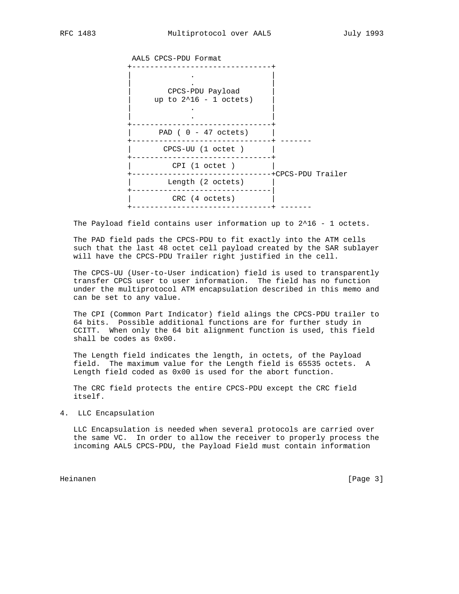AAL5 CPCS-PDU Format



The Payload field contains user information up to  $2^16 - 1$  octets.

 The PAD field pads the CPCS-PDU to fit exactly into the ATM cells such that the last 48 octet cell payload created by the SAR sublayer will have the CPCS-PDU Trailer right justified in the cell.

 The CPCS-UU (User-to-User indication) field is used to transparently transfer CPCS user to user information. The field has no function under the multiprotocol ATM encapsulation described in this memo and can be set to any value.

 The CPI (Common Part Indicator) field alings the CPCS-PDU trailer to 64 bits. Possible additional functions are for further study in CCITT. When only the 64 bit alignment function is used, this field shall be codes as 0x00.

 The Length field indicates the length, in octets, of the Payload field. The maximum value for the Length field is 65535 octets. A Length field coded as 0x00 is used for the abort function.

 The CRC field protects the entire CPCS-PDU except the CRC field itself.

4. LLC Encapsulation

 LLC Encapsulation is needed when several protocols are carried over the same VC. In order to allow the receiver to properly process the incoming AAL5 CPCS-PDU, the Payload Field must contain information

Heinanen [Page 3]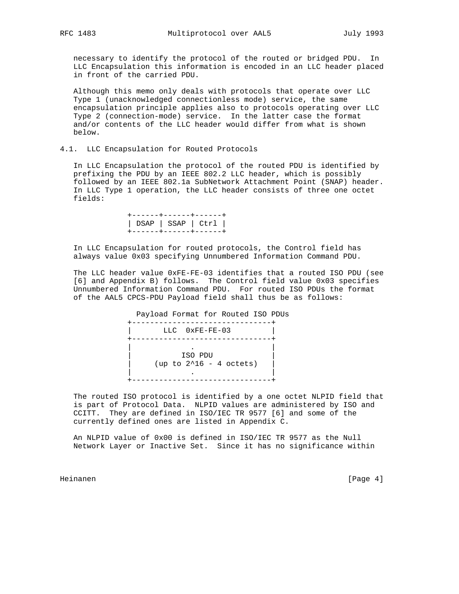necessary to identify the protocol of the routed or bridged PDU. In LLC Encapsulation this information is encoded in an LLC header placed in front of the carried PDU.

 Although this memo only deals with protocols that operate over LLC Type 1 (unacknowledged connectionless mode) service, the same encapsulation principle applies also to protocols operating over LLC Type 2 (connection-mode) service. In the latter case the format and/or contents of the LLC header would differ from what is shown below.

### 4.1. LLC Encapsulation for Routed Protocols

 In LLC Encapsulation the protocol of the routed PDU is identified by prefixing the PDU by an IEEE 802.2 LLC header, which is possibly followed by an IEEE 802.1a SubNetwork Attachment Point (SNAP) header. In LLC Type 1 operation, the LLC header consists of three one octet fields:

> +------+------+------+ | DSAP | SSAP | Ctrl | +------+------+------+

 In LLC Encapsulation for routed protocols, the Control field has always value 0x03 specifying Unnumbered Information Command PDU.

 The LLC header value 0xFE-FE-03 identifies that a routed ISO PDU (see [6] and Appendix B) follows. The Control field value 0x03 specifies Unnumbered Information Command PDU. For routed ISO PDUs the format of the AAL5 CPCS-PDU Payload field shall thus be as follows:

 Payload Format for Routed ISO PDUs +-------------------------------+ LLC  $0xFE-FE-03$  +-------------------------------+ | . | | ISO PDU |  $up to 2^16 - 4 octets)$  | . | +-------------------------------+

 The routed ISO protocol is identified by a one octet NLPID field that is part of Protocol Data. NLPID values are administered by ISO and CCITT. They are defined in ISO/IEC TR 9577 [6] and some of the currently defined ones are listed in Appendix C.

 An NLPID value of 0x00 is defined in ISO/IEC TR 9577 as the Null Network Layer or Inactive Set. Since it has no significance within

Heinanen [Page 4]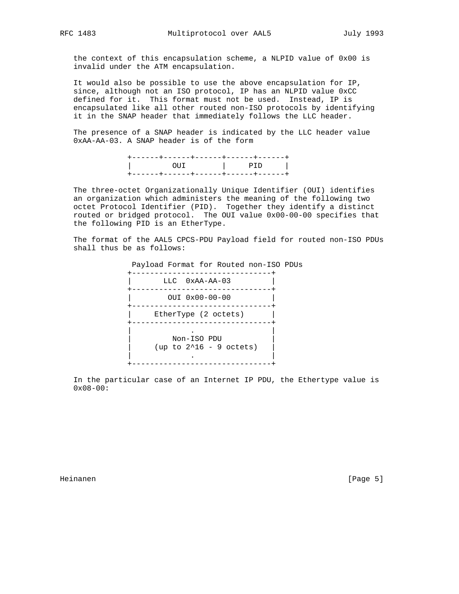the context of this encapsulation scheme, a NLPID value of 0x00 is invalid under the ATM encapsulation.

 It would also be possible to use the above encapsulation for IP, since, although not an ISO protocol, IP has an NLPID value 0xCC defined for it. This format must not be used. Instead, IP is encapsulated like all other routed non-ISO protocols by identifying it in the SNAP header that immediately follows the LLC header.

 The presence of a SNAP header is indicated by the LLC header value 0xAA-AA-03. A SNAP header is of the form

| - - - + - - - - - - + - - - | __________ |
|-----------------------------|------------|
|                             |            |
|                             |            |

 The three-octet Organizationally Unique Identifier (OUI) identifies an organization which administers the meaning of the following two octet Protocol Identifier (PID). Together they identify a distinct routed or bridged protocol. The OUI value 0x00-00-00 specifies that the following PID is an EtherType.

 The format of the AAL5 CPCS-PDU Payload field for routed non-ISO PDUs shall thus be as follows:

 Payload Format for Routed non-ISO PDUs +-------------------------------+ | LLC 0xAA-AA-03 | +-------------------------------+ | OUI 0x00-00-00 | +-------------------------------+ | EtherType (2 octets) +-------------------------------+ | . | | Non-ISO PDU | (up to 2^16 - 9 octets) | . | +-------------------------------+

 In the particular case of an Internet IP PDU, the Ethertype value is 0x08-00:

Heinanen [Page 5]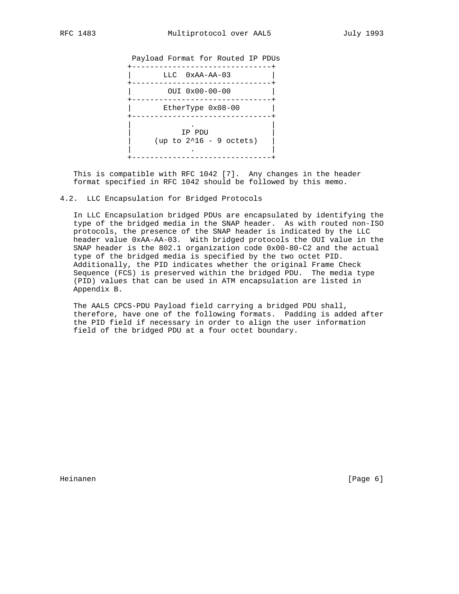



 This is compatible with RFC 1042 [7]. Any changes in the header format specified in RFC 1042 should be followed by this memo.

### 4.2. LLC Encapsulation for Bridged Protocols

 In LLC Encapsulation bridged PDUs are encapsulated by identifying the type of the bridged media in the SNAP header. As with routed non-ISO protocols, the presence of the SNAP header is indicated by the LLC header value 0xAA-AA-03. With bridged protocols the OUI value in the SNAP header is the 802.1 organization code 0x00-80-C2 and the actual type of the bridged media is specified by the two octet PID. Additionally, the PID indicates whether the original Frame Check Sequence (FCS) is preserved within the bridged PDU. The media type (PID) values that can be used in ATM encapsulation are listed in Appendix B.

 The AAL5 CPCS-PDU Payload field carrying a bridged PDU shall, therefore, have one of the following formats. Padding is added after the PID field if necessary in order to align the user information field of the bridged PDU at a four octet boundary.

Heinanen [Page 6]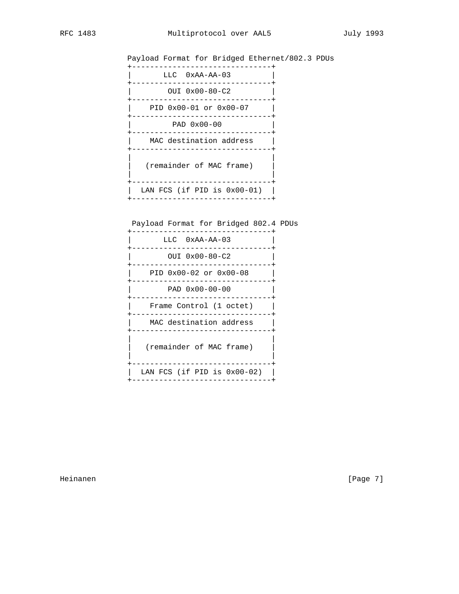Payload Format for Bridged Ethernet/802.3 PDUs

| $LLC$ $0xAA-AA-03$             |
|--------------------------------|
| OUI 0x00-80-C2                 |
|                                |
| PID 0x00-01 or 0x00-07         |
| PAD $0 \times 00 - 00$         |
| MAC destination address        |
| (remainder of MAC frame)       |
| LAN FCS (if PID is $0x00-01$ ) |

Payload Format for Bridged 802.4 PDUs

| LLC 0xAA-AA-03                 |
|--------------------------------|
| OUI 0x00-80-C2                 |
| PID 0x00-02 or 0x00-08         |
| PAD $0x00-00-00$               |
| Frame Control (1 octet)        |
| MAC destination address        |
| (remainder of MAC frame)       |
| LAN FCS (if PID is $0x00-02$ ) |

Heinanen [Page 7]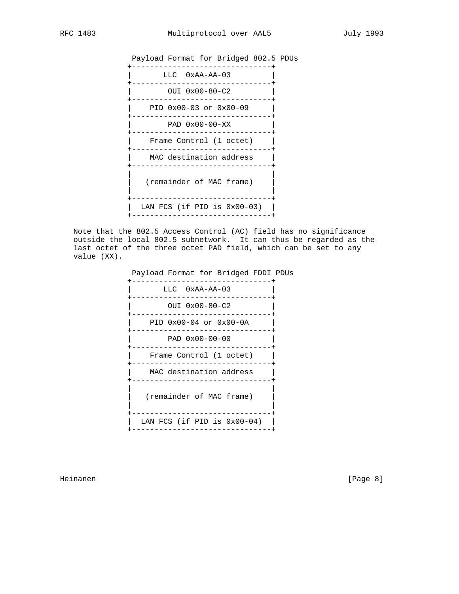



 Note that the 802.5 Access Control (AC) field has no significance outside the local 802.5 subnetwork. It can thus be regarded as the last octet of the three octet PAD field, which can be set to any value (XX).

Payload Format for Bridged FDDI PDUs



Heinanen [Page 8]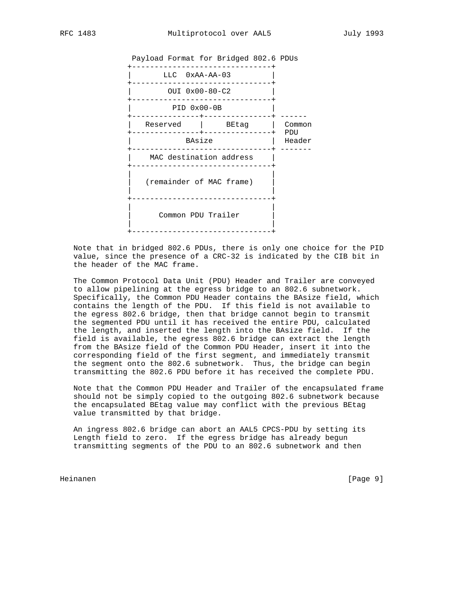

 Note that in bridged 802.6 PDUs, there is only one choice for the PID value, since the presence of a CRC-32 is indicated by the CIB bit in the header of the MAC frame.

 The Common Protocol Data Unit (PDU) Header and Trailer are conveyed to allow pipelining at the egress bridge to an 802.6 subnetwork. Specifically, the Common PDU Header contains the BAsize field, which contains the length of the PDU. If this field is not available to the egress 802.6 bridge, then that bridge cannot begin to transmit the segmented PDU until it has received the entire PDU, calculated the length, and inserted the length into the BAsize field. If the field is available, the egress 802.6 bridge can extract the length from the BAsize field of the Common PDU Header, insert it into the corresponding field of the first segment, and immediately transmit the segment onto the 802.6 subnetwork. Thus, the bridge can begin transmitting the 802.6 PDU before it has received the complete PDU.

 Note that the Common PDU Header and Trailer of the encapsulated frame should not be simply copied to the outgoing 802.6 subnetwork because the encapsulated BEtag value may conflict with the previous BEtag value transmitted by that bridge.

 An ingress 802.6 bridge can abort an AAL5 CPCS-PDU by setting its Length field to zero. If the egress bridge has already begun transmitting segments of the PDU to an 802.6 subnetwork and then

Heinanen [Page 9]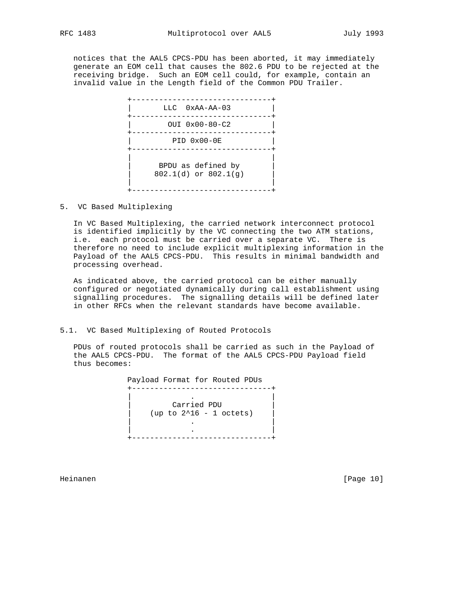notices that the AAL5 CPCS-PDU has been aborted, it may immediately generate an EOM cell that causes the 802.6 PDU to be rejected at the receiving bridge. Such an EOM cell could, for example, contain an invalid value in the Length field of the Common PDU Trailer.



5. VC Based Multiplexing

 In VC Based Multiplexing, the carried network interconnect protocol is identified implicitly by the VC connecting the two ATM stations, i.e. each protocol must be carried over a separate VC. There is therefore no need to include explicit multiplexing information in the Payload of the AAL5 CPCS-PDU. This results in minimal bandwidth and processing overhead.

 As indicated above, the carried protocol can be either manually configured or negotiated dynamically during call establishment using signalling procedures. The signalling details will be defined later in other RFCs when the relevant standards have become available.

### 5.1. VC Based Multiplexing of Routed Protocols

 PDUs of routed protocols shall be carried as such in the Payload of the AAL5 CPCS-PDU. The format of the AAL5 CPCS-PDU Payload field thus becomes:

 Payload Format for Routed PDUs +-------------------------------+ | . | | Carried PDU | (up to 2^16 - 1 octets) | . | | . | +-------------------------------+

Heinanen [Page 10]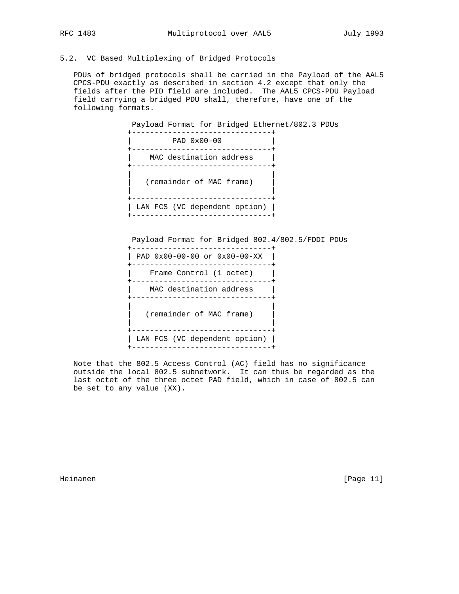## 5.2. VC Based Multiplexing of Bridged Protocols

 PDUs of bridged protocols shall be carried in the Payload of the AAL5 CPCS-PDU exactly as described in section 4.2 except that only the fields after the PID field are included. The AAL5 CPCS-PDU Payload field carrying a bridged PDU shall, therefore, have one of the following formats.

 Payload Format for Bridged Ethernet/802.3 PDUs +-------------------------------+ | PAD 0x00-00 | +-------------------------------+ | MAC destination address | +-------------------------------+ | | (remainder of MAC frame) | | +-------------------------------+ | LAN FCS (VC dependent option) | +-------------------------------+

Payload Format for Bridged 802.4/802.5/FDDI PDUs

| PAD 0x00-00-00 or 0x00-00-XX  |
|-------------------------------|
| Frame Control (1 octet)       |
| MAC destination address       |
| (remainder of MAC frame)      |
| LAN FCS (VC dependent option) |

 Note that the 802.5 Access Control (AC) field has no significance outside the local 802.5 subnetwork. It can thus be regarded as the last octet of the three octet PAD field, which in case of 802.5 can be set to any value (XX).

Heinanen [Page 11]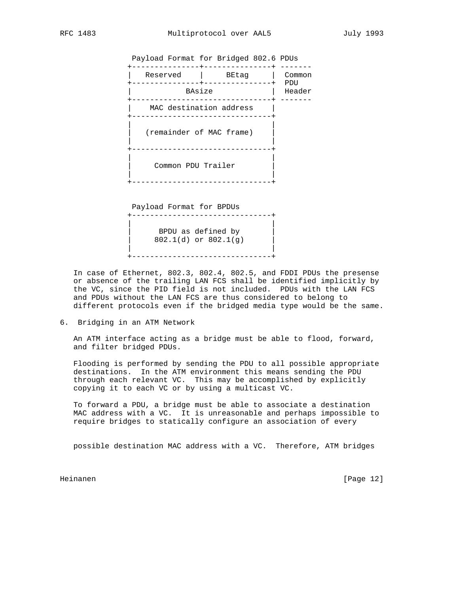| Payload Format for Bridged 802.6 PDUs |       |               |
|---------------------------------------|-------|---------------|
| Reserved                              | BEtaq | Common        |
| BAsize                                |       | PDU<br>Header |
| MAC destination address               |       |               |
|                                       |       |               |

(remainder of MAC frame) | | +-------------------------------+

 | | | Common PDU Trailer | | |

 Payload Format for BPDUs +-------------------------------+ | | BPDU as defined by | 802.1(d) or 802.1(g) | | | +-------------------------------+

+-------------------------------+

 In case of Ethernet, 802.3, 802.4, 802.5, and FDDI PDUs the presense or absence of the trailing LAN FCS shall be identified implicitly by the VC, since the PID field is not included. PDUs with the LAN FCS and PDUs without the LAN FCS are thus considered to belong to different protocols even if the bridged media type would be the same.

6. Bridging in an ATM Network

 An ATM interface acting as a bridge must be able to flood, forward, and filter bridged PDUs.

 Flooding is performed by sending the PDU to all possible appropriate destinations. In the ATM environment this means sending the PDU through each relevant VC. This may be accomplished by explicitly copying it to each VC or by using a multicast VC.

 To forward a PDU, a bridge must be able to associate a destination MAC address with a VC. It is unreasonable and perhaps impossible to require bridges to statically configure an association of every

possible destination MAC address with a VC. Therefore, ATM bridges

Heinanen [Page 12]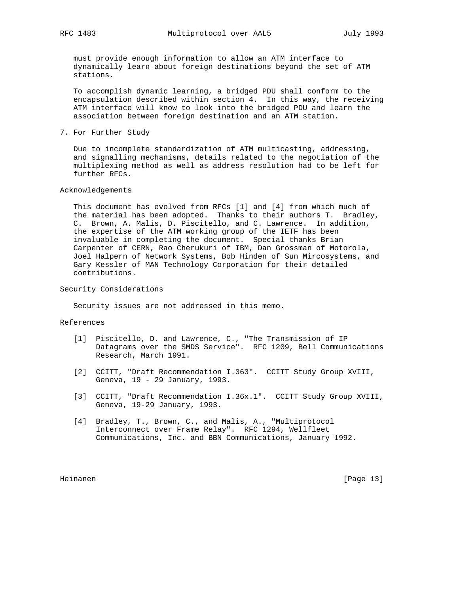must provide enough information to allow an ATM interface to dynamically learn about foreign destinations beyond the set of ATM stations.

 To accomplish dynamic learning, a bridged PDU shall conform to the encapsulation described within section 4. In this way, the receiving ATM interface will know to look into the bridged PDU and learn the association between foreign destination and an ATM station.

7. For Further Study

 Due to incomplete standardization of ATM multicasting, addressing, and signalling mechanisms, details related to the negotiation of the multiplexing method as well as address resolution had to be left for further RFCs.

### Acknowledgements

 This document has evolved from RFCs [1] and [4] from which much of the material has been adopted. Thanks to their authors T. Bradley, C. Brown, A. Malis, D. Piscitello, and C. Lawrence. In addition, the expertise of the ATM working group of the IETF has been invaluable in completing the document. Special thanks Brian Carpenter of CERN, Rao Cherukuri of IBM, Dan Grossman of Motorola, Joel Halpern of Network Systems, Bob Hinden of Sun Mircosystems, and Gary Kessler of MAN Technology Corporation for their detailed contributions.

Security Considerations

Security issues are not addressed in this memo.

### References

- [1] Piscitello, D. and Lawrence, C., "The Transmission of IP Datagrams over the SMDS Service". RFC 1209, Bell Communications Research, March 1991.
	- [2] CCITT, "Draft Recommendation I.363". CCITT Study Group XVIII, Geneva, 19 - 29 January, 1993.
	- [3] CCITT, "Draft Recommendation I.36x.1". CCITT Study Group XVIII, Geneva, 19-29 January, 1993.
	- [4] Bradley, T., Brown, C., and Malis, A., "Multiprotocol Interconnect over Frame Relay". RFC 1294, Wellfleet Communications, Inc. and BBN Communications, January 1992.

Heinanen [Page 13]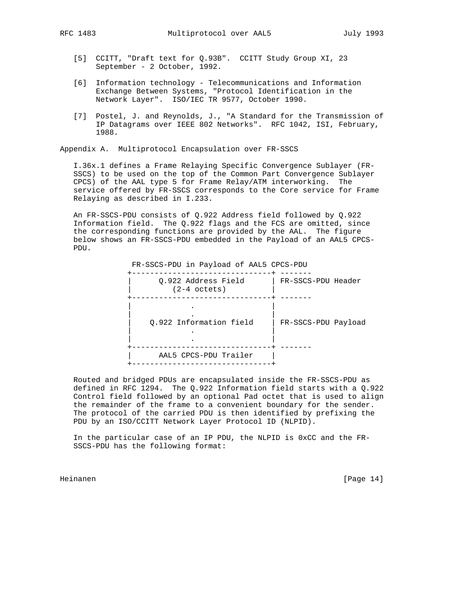- [5] CCITT, "Draft text for Q.93B". CCITT Study Group XI, 23
	- September 2 October, 1992.
- [6] Information technology Telecommunications and Information Exchange Between Systems, "Protocol Identification in the Network Layer". ISO/IEC TR 9577, October 1990.
- [7] Postel, J. and Reynolds, J., "A Standard for the Transmission of IP Datagrams over IEEE 802 Networks". RFC 1042, ISI, February, 1988.

Appendix A. Multiprotocol Encapsulation over FR-SSCS

 I.36x.1 defines a Frame Relaying Specific Convergence Sublayer (FR- SSCS) to be used on the top of the Common Part Convergence Sublayer CPCS) of the AAL type 5 for Frame Relay/ATM interworking. The service offered by FR-SSCS corresponds to the Core service for Frame Relaying as described in I.233.

 An FR-SSCS-PDU consists of Q.922 Address field followed by Q.922 Information field. The Q.922 flags and the FCS are omitted, since the corresponding functions are provided by the AAL. The figure below shows an FR-SSCS-PDU embedded in the Payload of an AAL5 CPCS- PDU.

| FR-SSCS-PDU in Payload of AAL5 CPCS-PDU |                     |
|-----------------------------------------|---------------------|
| Q.922 Address Field<br>$(2-4$ octets)   | FR-SSCS-PDU Header  |
|                                         |                     |
| 0.922 Information field                 | FR-SSCS-PDU Payload |
| AAL5 CPCS-PDU Trailer                   |                     |

 Routed and bridged PDUs are encapsulated inside the FR-SSCS-PDU as defined in RFC 1294. The Q.922 Information field starts with a Q.922 Control field followed by an optional Pad octet that is used to align the remainder of the frame to a convenient boundary for the sender. The protocol of the carried PDU is then identified by prefixing the PDU by an ISO/CCITT Network Layer Protocol ID (NLPID).

 In the particular case of an IP PDU, the NLPID is 0xCC and the FR- SSCS-PDU has the following format:

Heinanen [Page 14]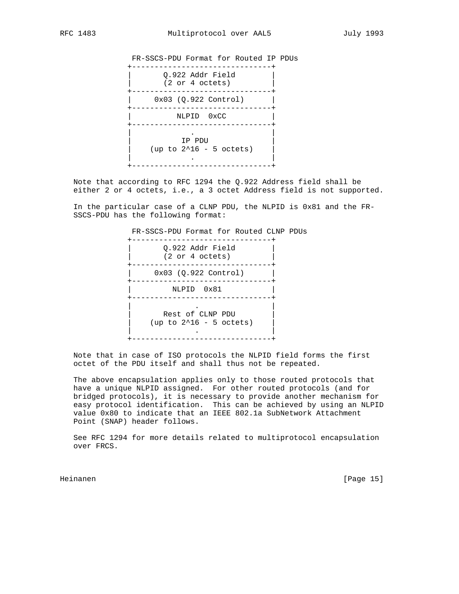FR-SSCS-PDU Format for Routed IP PDUs

| Q.922 Addr Field<br>(2 or 4 octets) |
|-------------------------------------|
| $0x03$ $(Q.922$ Control)            |
| NLPID 0xCC                          |
| IP PDU<br>(up to $2^16 - 5$ octets) |

 Note that according to RFC 1294 the Q.922 Address field shall be either 2 or 4 octets, i.e., a 3 octet Address field is not supported.

 In the particular case of a CLNP PDU, the NLPID is 0x81 and the FR- SSCS-PDU has the following format:

 FR-SSCS-PDU Format for Routed CLNP PDUs +-------------------------------+ | Q.922 Addr Field | | (2 or 4 octets) | +-------------------------------+ | 0x03 (Q.922 Control) | +-------------------------------+ | NLPID 0x81 | +-------------------------------+ | . | Rest of CLNP PDU (up to 2^16 - 5 octets) | . | +-------------------------------+

 Note that in case of ISO protocols the NLPID field forms the first octet of the PDU itself and shall thus not be repeated.

 The above encapsulation applies only to those routed protocols that have a unique NLPID assigned. For other routed protocols (and for bridged protocols), it is necessary to provide another mechanism for easy protocol identification. This can be achieved by using an NLPID value 0x80 to indicate that an IEEE 802.1a SubNetwork Attachment Point (SNAP) header follows.

 See RFC 1294 for more details related to multiprotocol encapsulation over FRCS.

Heinanen [Page 15]